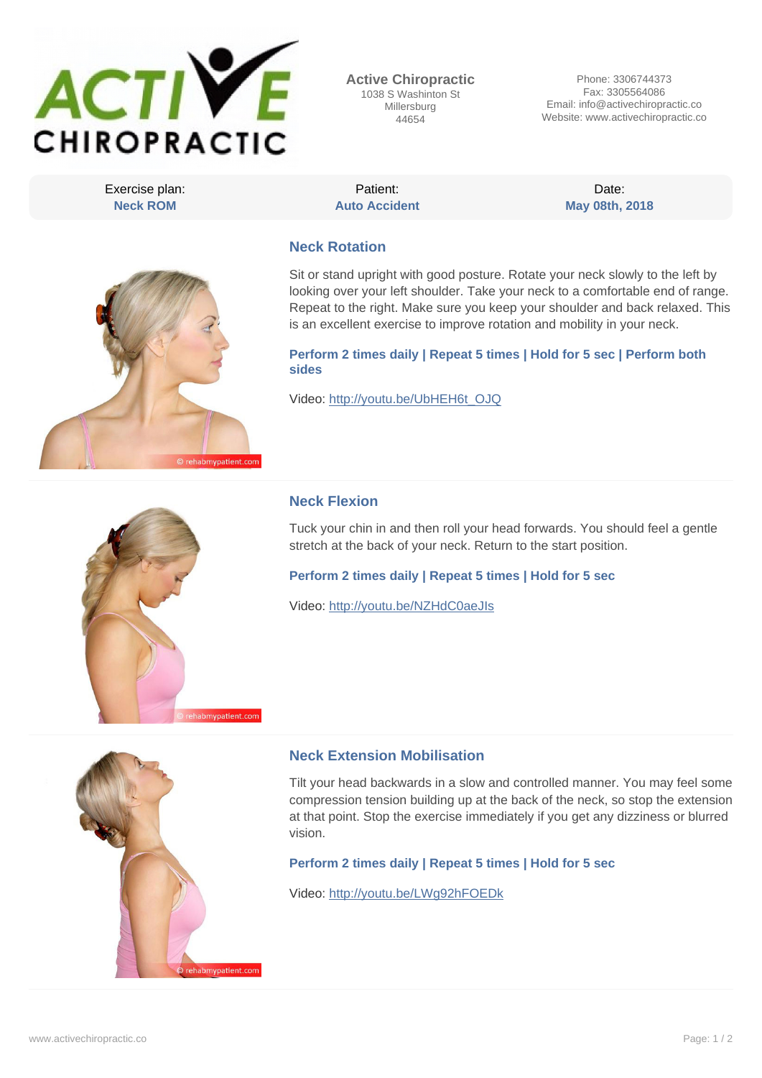

**Active Chiropractic** 1038 S Washinton St Millersburg 44654

Phone: 3306744373 Fax: 3305564086 Email: info@activechiropractic.co Website: www.activechiropractic.co

Exercise plan: **Neck ROM**

Patient: **Auto Accident**

Date: **May 08th, 2018**

# **Neck Rotation**

Sit or stand upright with good posture. Rotate your neck slowly to the left by looking over your left shoulder. Take your neck to a comfortable end of range. Repeat to the right. Make sure you keep your shoulder and back relaxed. This is an excellent exercise to improve rotation and mobility in your neck.

**Perform 2 times daily | Repeat 5 times | Hold for 5 sec | Perform both sides**

Video: http://youtu.be/UbHEH6t\_OJQ



rehabmypatient.com

## **Neck Flexion**

Tuck your chin in and then roll your head forwards. You should feel a gentle stretch at the back of your neck. Return to the start position.

**Perform 2 times daily | Repeat 5 times | Hold for 5 sec**

Video: http://youtu.be/NZHdC0aeJIs



## **Neck Extension Mobilisation**

Tilt your head backwards in a slow and controlled manner. You may feel some compression tension building up at the back of the neck, so stop the extension at that point. Stop the exercise immediately if you get any dizziness or blurred vision.

**Perform 2 times daily | Repeat 5 times | Hold for 5 sec**

Video: http://youtu.be/LWg92hFOEDk